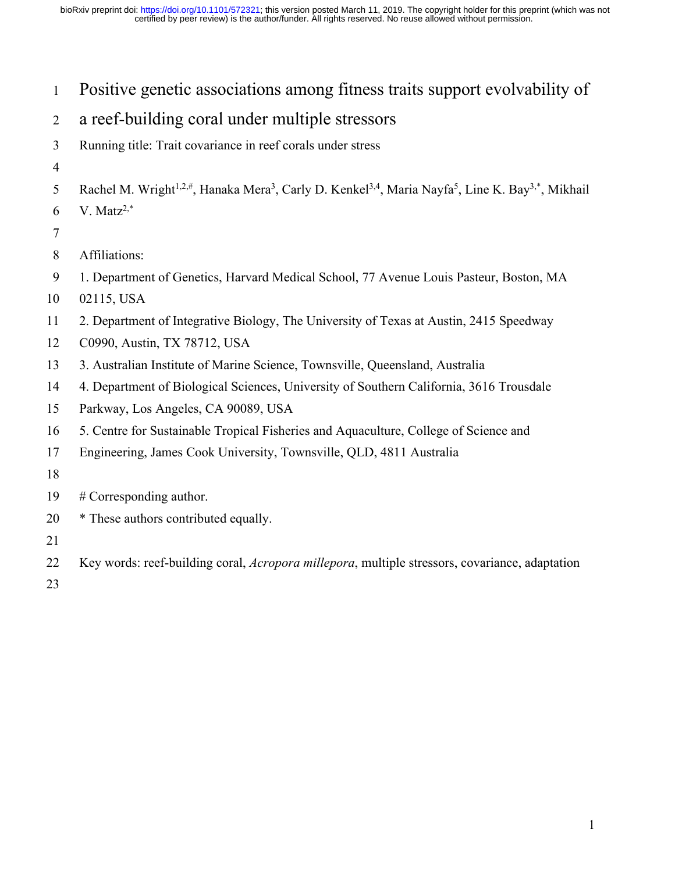Positive genetic associations among fitness traits support evolvability of

# a reef-building coral under multiple stressors

- Running title: Trait covariance in reef corals under stress
- 
- 5 Rachel M. Wright<sup>1,2,#</sup>, Hanaka Mera<sup>3</sup>, Carly D. Kenkel<sup>3,4</sup>, Maria Nayfa<sup>5</sup>, Line K. Bay<sup>3,\*</sup>, Mikhail
- 6 V. Matz<sup>2,\*</sup>
- 
- Affiliations:
- 1. Department of Genetics, Harvard Medical School, 77 Avenue Louis Pasteur, Boston, MA
- 02115, USA
- 2. Department of Integrative Biology, The University of Texas at Austin, 2415 Speedway
- C0990, Austin, TX 78712, USA
- 3. Australian Institute of Marine Science, Townsville, Queensland, Australia
- 4. Department of Biological Sciences, University of Southern California, 3616 Trousdale
- Parkway, Los Angeles, CA 90089, USA
- 5. Centre for Sustainable Tropical Fisheries and Aquaculture, College of Science and
- Engineering, James Cook University, Townsville, QLD, 4811 Australia
- 
- # Corresponding author.
- \* These authors contributed equally.
- 
- Key words: reef-building coral, *Acropora millepora*, multiple stressors, covariance, adaptation
-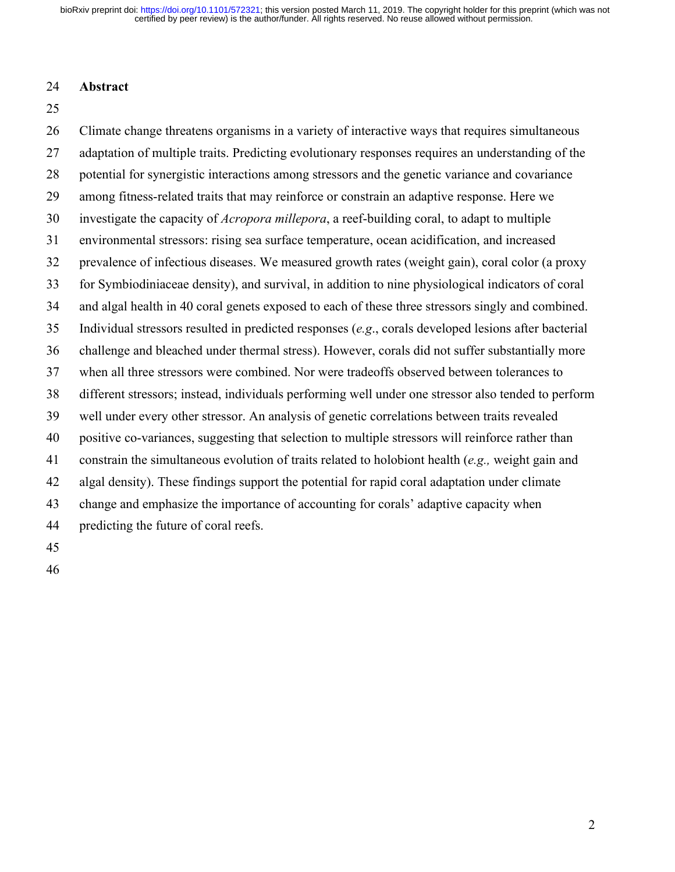#### **Abstract**

 Climate change threatens organisms in a variety of interactive ways that requires simultaneous 27 adaptation of multiple traits. Predicting evolutionary responses requires an understanding of the potential for synergistic interactions among stressors and the genetic variance and covariance among fitness-related traits that may reinforce or constrain an adaptive response. Here we investigate the capacity of *Acropora millepora*, a reef-building coral, to adapt to multiple environmental stressors: rising sea surface temperature, ocean acidification, and increased prevalence of infectious diseases. We measured growth rates (weight gain), coral color (a proxy for Symbiodiniaceae density), and survival, in addition to nine physiological indicators of coral and algal health in 40 coral genets exposed to each of these three stressors singly and combined. Individual stressors resulted in predicted responses (*e.g*., corals developed lesions after bacterial challenge and bleached under thermal stress). However, corals did not suffer substantially more when all three stressors were combined. Nor were tradeoffs observed between tolerances to different stressors; instead, individuals performing well under one stressor also tended to perform well under every other stressor. An analysis of genetic correlations between traits revealed positive co-variances, suggesting that selection to multiple stressors will reinforce rather than constrain the simultaneous evolution of traits related to holobiont health (*e.g.,* weight gain and algal density). These findings support the potential for rapid coral adaptation under climate change and emphasize the importance of accounting for corals' adaptive capacity when predicting the future of coral reefs.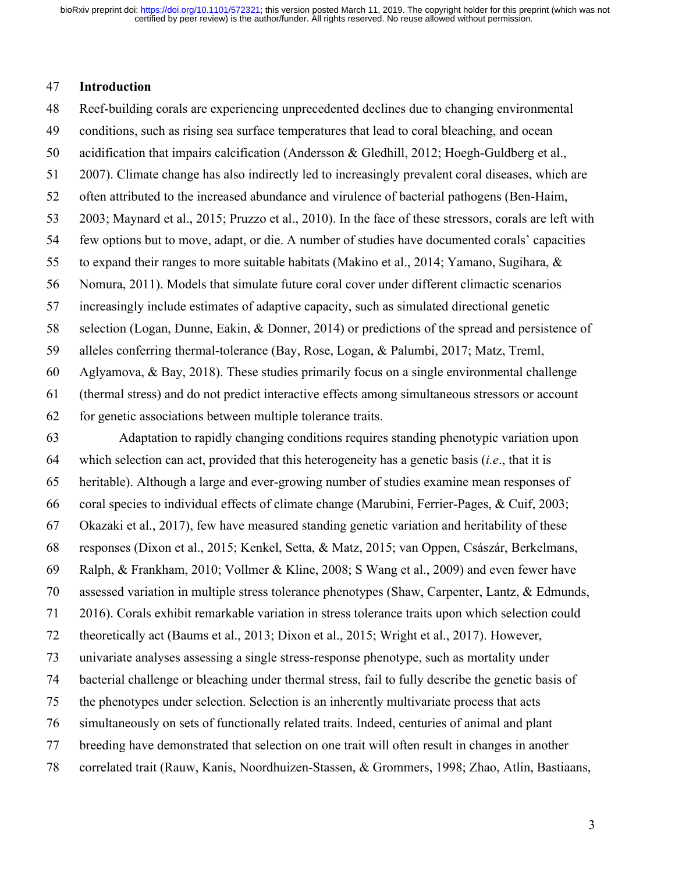#### **Introduction**

Reef-building corals are experiencing unprecedented declines due to changing environmental

- conditions, such as rising sea surface temperatures that lead to coral bleaching, and ocean
- acidification that impairs calcification (Andersson & Gledhill, 2012; Hoegh-Guldberg et al.,
- 2007). Climate change has also indirectly led to increasingly prevalent coral diseases, which are
- often attributed to the increased abundance and virulence of bacterial pathogens (Ben-Haim,
- 2003; Maynard et al., 2015; Pruzzo et al., 2010). In the face of these stressors, corals are left with
- few options but to move, adapt, or die. A number of studies have documented corals' capacities
- to expand their ranges to more suitable habitats (Makino et al., 2014; Yamano, Sugihara, &
- Nomura, 2011). Models that simulate future coral cover under different climactic scenarios
- increasingly include estimates of adaptive capacity, such as simulated directional genetic
- selection (Logan, Dunne, Eakin, & Donner, 2014) or predictions of the spread and persistence of
- alleles conferring thermal-tolerance (Bay, Rose, Logan, & Palumbi, 2017; Matz, Treml,
- 60 Aglyamova, & Bay, 2018). These studies primarily focus on a single environmental challenge
- (thermal stress) and do not predict interactive effects among simultaneous stressors or account
- for genetic associations between multiple tolerance traits.
- Adaptation to rapidly changing conditions requires standing phenotypic variation upon which selection can act, provided that this heterogeneity has a genetic basis (*i.e*., that it is heritable). Although a large and ever-growing number of studies examine mean responses of coral species to individual effects of climate change (Marubini, Ferrier-Pages, & Cuif, 2003; Okazaki et al., 2017), few have measured standing genetic variation and heritability of these responses (Dixon et al., 2015; Kenkel, Setta, & Matz, 2015; van Oppen, Császár, Berkelmans, Ralph, & Frankham, 2010; Vollmer & Kline, 2008; S Wang et al., 2009) and even fewer have assessed variation in multiple stress tolerance phenotypes (Shaw, Carpenter, Lantz, & Edmunds, 2016). Corals exhibit remarkable variation in stress tolerance traits upon which selection could theoretically act (Baums et al., 2013; Dixon et al., 2015; Wright et al., 2017). However, univariate analyses assessing a single stress-response phenotype, such as mortality under bacterial challenge or bleaching under thermal stress, fail to fully describe the genetic basis of the phenotypes under selection. Selection is an inherently multivariate process that acts simultaneously on sets of functionally related traits. Indeed, centuries of animal and plant breeding have demonstrated that selection on one trait will often result in changes in another correlated trait (Rauw, Kanis, Noordhuizen-Stassen, & Grommers, 1998; Zhao, Atlin, Bastiaans,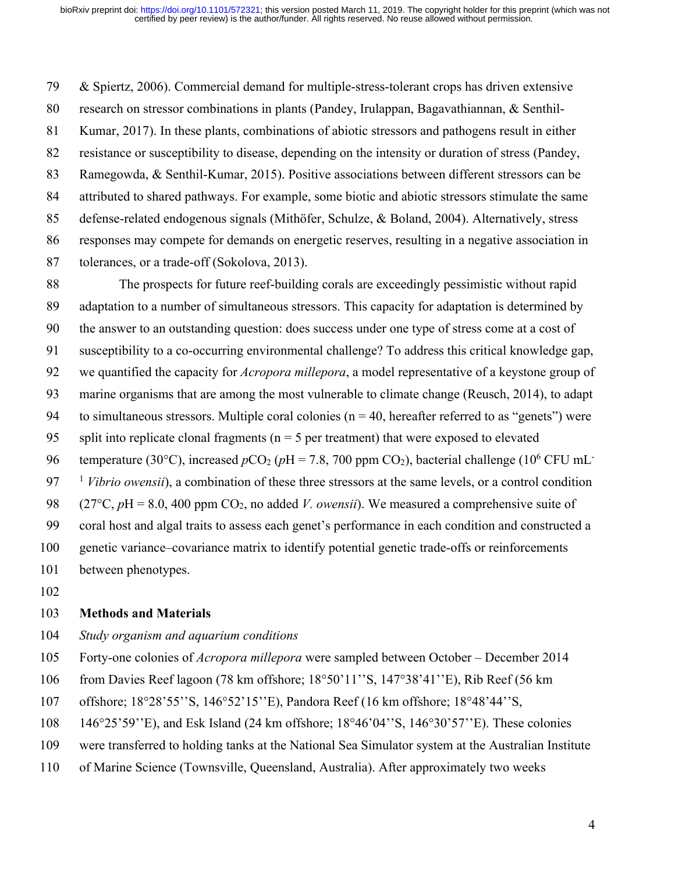& Spiertz, 2006). Commercial demand for multiple-stress-tolerant crops has driven extensive research on stressor combinations in plants (Pandey, Irulappan, Bagavathiannan, & Senthil- Kumar, 2017). In these plants, combinations of abiotic stressors and pathogens result in either resistance or susceptibility to disease, depending on the intensity or duration of stress (Pandey, Ramegowda, & Senthil-Kumar, 2015). Positive associations between different stressors can be attributed to shared pathways. For example, some biotic and abiotic stressors stimulate the same defense-related endogenous signals (Mithöfer, Schulze, & Boland, 2004). Alternatively, stress responses may compete for demands on energetic reserves, resulting in a negative association in tolerances, or a trade-off (Sokolova, 2013).

 The prospects for future reef-building corals are exceedingly pessimistic without rapid adaptation to a number of simultaneous stressors. This capacity for adaptation is determined by the answer to an outstanding question: does success under one type of stress come at a cost of susceptibility to a co-occurring environmental challenge? To address this critical knowledge gap, we quantified the capacity for *Acropora millepora*, a model representative of a keystone group of marine organisms that are among the most vulnerable to climate change (Reusch, 2014), to adapt 94 to simultaneous stressors. Multiple coral colonies ( $n = 40$ , hereafter referred to as "genets") were 95 split into replicate clonal fragments ( $n = 5$  per treatment) that were exposed to elevated 96 temperature (30°C), increased  $pCO_2$  ( $pH = 7.8$ , 700 ppm  $CO_2$ ), bacterial challenge (10<sup>6</sup> CFU mL<sup>-</sup> *Vibrio owensii*), a combination of these three stressors at the same levels, or a control condition 98 (27°C,  $pH = 8.0$ , 400 ppm CO<sub>2</sub>, no added *V. owensii*). We measured a comprehensive suite of coral host and algal traits to assess each genet's performance in each condition and constructed a genetic variance–covariance matrix to identify potential genetic trade-offs or reinforcements between phenotypes.

#### **Methods and Materials**

- *Study organism and aquarium conditions*
- Forty-one colonies of *Acropora millepora* were sampled between October December 2014
- from Davies Reef lagoon (78 km offshore; 18°50'11''S, 147°38'41''E), Rib Reef (56 km
- offshore; 18°28'55''S, 146°52'15''E), Pandora Reef (16 km offshore; 18°48'44''S,
- 146°25'59''E), and Esk Island (24 km offshore; 18°46'04''S, 146°30'57''E). These colonies
- were transferred to holding tanks at the National Sea Simulator system at the Australian Institute
- of Marine Science (Townsville, Queensland, Australia). After approximately two weeks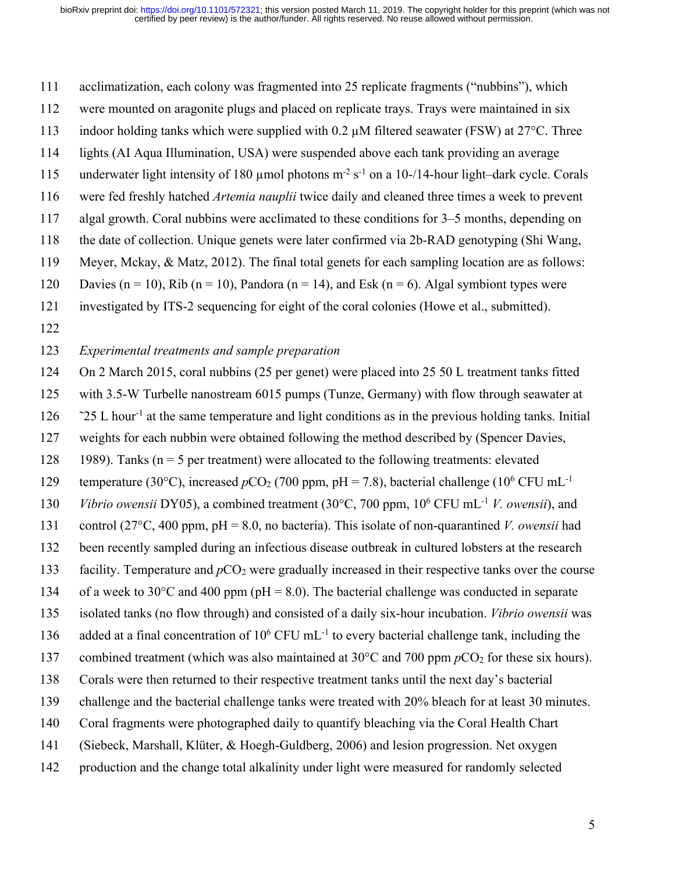acclimatization, each colony was fragmented into 25 replicate fragments ("nubbins"), which

- were mounted on aragonite plugs and placed on replicate trays. Trays were maintained in six
- 113 indoor holding tanks which were supplied with 0.2  $\mu$ M filtered seawater (FSW) at 27 $\degree$ C. Three
- lights (AI Aqua Illumination, USA) were suspended above each tank providing an average
- 115 underwater light intensity of 180 µmol photons  $m^{-2} s^{-1}$  on a 10-/14-hour light–dark cycle. Corals
- were fed freshly hatched *Artemia nauplii* twice daily and cleaned three times a week to prevent
- algal growth. Coral nubbins were acclimated to these conditions for 3–5 months, depending on
- the date of collection. Unique genets were later confirmed via 2b-RAD genotyping (Shi Wang,
- Meyer, Mckay, & Matz, 2012). The final total genets for each sampling location are as follows:
- 120 Davies (n = 10), Rib (n = 10), Pandora (n = 14), and Esk (n = 6). Algal symbiont types were
- investigated by ITS-2 sequencing for eight of the coral colonies (Howe et al., submitted).
- 

## *Experimental treatments and sample preparation*

- On 2 March 2015, coral nubbins (25 per genet) were placed into 25 50 L treatment tanks fitted
- with 3.5-W Turbelle nanostream 6015 pumps (Tunze, Germany) with flow through seawater at
- $\frac{25}{25}$  L hour<sup>-1</sup> at the same temperature and light conditions as in the previous holding tanks. Initial
- weights for each nubbin were obtained following the method described by (Spencer Davies,
- 128 1989). Tanks ( $n = 5$  per treatment) were allocated to the following treatments: elevated
- temperature (30°C), increased  $pCO_2$  (700 ppm, pH = 7.8), bacterial challenge (10<sup>6</sup> CFU mL<sup>-1</sup>
- 130 *Vibrio owensii* DY05), a combined treatment (30°C, 700 ppm, 10<sup>6</sup> CFU mL<sup>-1</sup> *V. owensii*), and
- control (27°C, 400 ppm, pH = 8.0, no bacteria). This isolate of non-quarantined *V. owensii* had
- been recently sampled during an infectious disease outbreak in cultured lobsters at the research
- 133 facility. Temperature and  $pCO<sub>2</sub>$  were gradually increased in their respective tanks over the course
- 134 of a week to 30 $^{\circ}$ C and 400 ppm (pH = 8.0). The bacterial challenge was conducted in separate
- isolated tanks (no flow through) and consisted of a daily six-hour incubation. *Vibrio owensii* was
- 136 added at a final concentration of  $10^6$  CFU mL<sup>-1</sup> to every bacterial challenge tank, including the
- 137 combined treatment (which was also maintained at  $30^{\circ}$ C and  $700$  ppm  $pCO_2$  for these six hours).
- Corals were then returned to their respective treatment tanks until the next day's bacterial
- challenge and the bacterial challenge tanks were treated with 20% bleach for at least 30 minutes.
- Coral fragments were photographed daily to quantify bleaching via the Coral Health Chart
- (Siebeck, Marshall, Klüter, & Hoegh-Guldberg, 2006) and lesion progression. Net oxygen
- production and the change total alkalinity under light were measured for randomly selected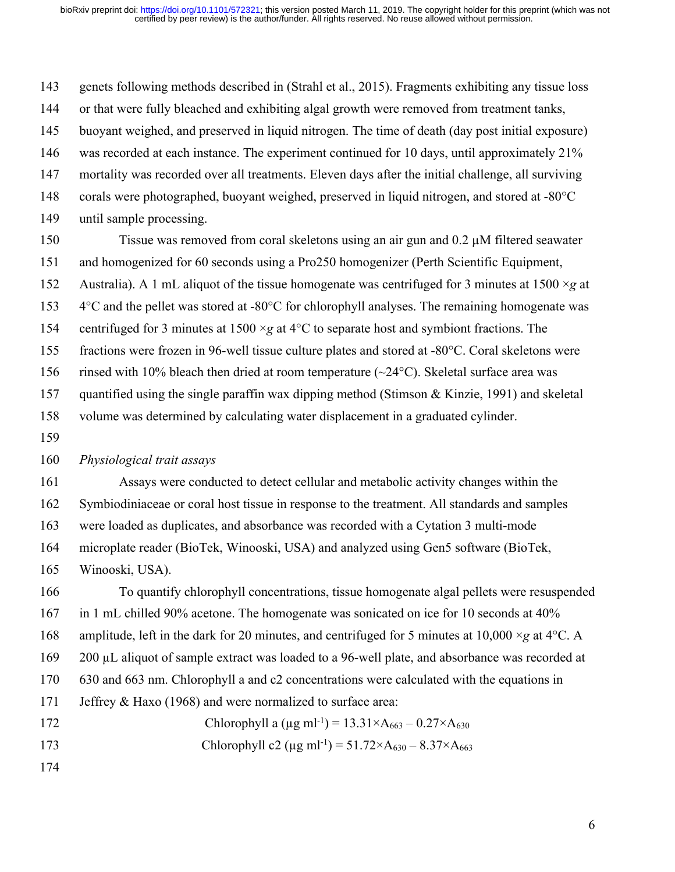genets following methods described in (Strahl et al., 2015). Fragments exhibiting any tissue loss 144 or that were fully bleached and exhibiting algal growth were removed from treatment tanks, buoyant weighed, and preserved in liquid nitrogen. The time of death (day post initial exposure) was recorded at each instance. The experiment continued for 10 days, until approximately 21% mortality was recorded over all treatments. Eleven days after the initial challenge, all surviving corals were photographed, buoyant weighed, preserved in liquid nitrogen, and stored at -80°C until sample processing.

150 Tissue was removed from coral skeletons using an air gun and 0.2  $\mu$ M filtered seawater and homogenized for 60 seconds using a Pro250 homogenizer (Perth Scientific Equipment, Australia). A 1 mL aliquot of the tissue homogenate was centrifuged for 3 minutes at 1500 ×*g* at 4°C and the pellet was stored at -80°C for chlorophyll analyses. The remaining homogenate was centrifuged for 3 minutes at 1500 ×*g* at 4°C to separate host and symbiont fractions. The fractions were frozen in 96-well tissue culture plates and stored at -80°C. Coral skeletons were 156 rinsed with 10% bleach then dried at room temperature  $(\sim 24$ °C). Skeletal surface area was quantified using the single paraffin wax dipping method (Stimson & Kinzie, 1991) and skeletal volume was determined by calculating water displacement in a graduated cylinder.

#### *Physiological trait assays*

 Assays were conducted to detect cellular and metabolic activity changes within the Symbiodiniaceae or coral host tissue in response to the treatment. All standards and samples were loaded as duplicates, and absorbance was recorded with a Cytation 3 multi-mode microplate reader (BioTek, Winooski, USA) and analyzed using Gen5 software (BioTek, Winooski, USA).

 To quantify chlorophyll concentrations, tissue homogenate algal pellets were resuspended in 1 mL chilled 90% acetone. The homogenate was sonicated on ice for 10 seconds at 40% amplitude, left in the dark for 20 minutes, and centrifuged for 5 minutes at 10,000 ×*g* at 4°C. A 200 µL aliquot of sample extract was loaded to a 96-well plate, and absorbance was recorded at 630 and 663 nm. Chlorophyll a and c2 concentrations were calculated with the equations in Jeffrey & Haxo (1968) and were normalized to surface area: 172 Chlorophyll a  $(\mu g \text{ ml}^{-1}) = 13.31 \times A_{663} - 0.27 \times A_{630}$ 173 Chlorophyll c2 ( $\mu$ g ml<sup>-1</sup>) = 51.72×A<sub>630</sub> – 8.37×A<sub>663</sub>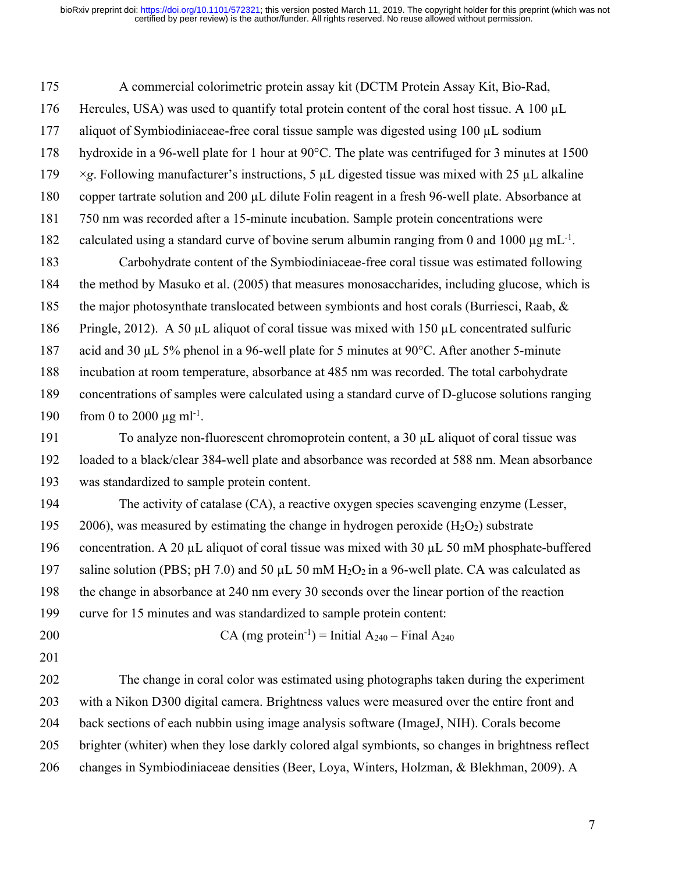A commercial colorimetric protein assay kit (DCTM Protein Assay Kit, Bio-Rad, 176 Hercules, USA) was used to quantify total protein content of the coral host tissue. A 100 µL 177 aliquot of Symbiodiniaceae-free coral tissue sample was digested using 100 µL sodium hydroxide in a 96-well plate for 1 hour at 90°C. The plate was centrifuged for 3 minutes at 1500 ×*g*. Following manufacturer's instructions, 5 µL digested tissue was mixed with 25 µL alkaline copper tartrate solution and 200 µL dilute Folin reagent in a fresh 96-well plate. Absorbance at 750 nm was recorded after a 15-minute incubation. Sample protein concentrations were 182 calculated using a standard curve of bovine serum albumin ranging from 0 and 1000  $\mu$ g mL<sup>-1</sup>. Carbohydrate content of the Symbiodiniaceae-free coral tissue was estimated following

 the method by Masuko et al. (2005) that measures monosaccharides, including glucose, which is 185 the major photosynthate translocated between symbionts and host corals (Burriesci, Raab, & Pringle, 2012). A 50 µL aliquot of coral tissue was mixed with 150 µL concentrated sulfuric 187 acid and 30 µL 5% phenol in a 96-well plate for 5 minutes at 90°C. After another 5-minute incubation at room temperature, absorbance at 485 nm was recorded. The total carbohydrate concentrations of samples were calculated using a standard curve of D-glucose solutions ranging 190 from 0 to 2000  $\mu$ g ml<sup>-1</sup>.

191 To analyze non-fluorescent chromoprotein content, a 30 µL aliquot of coral tissue was loaded to a black/clear 384-well plate and absorbance was recorded at 588 nm. Mean absorbance was standardized to sample protein content.

 The activity of catalase (CA), a reactive oxygen species scavenging enzyme (Lesser, 195 2006), was measured by estimating the change in hydrogen peroxide  $(H_2O_2)$  substrate concentration. A 20 µL aliquot of coral tissue was mixed with 30 µL 50 mM phosphate-buffered 197 saline solution (PBS; pH 7.0) and 50  $\mu$ L 50 mM H<sub>2</sub>O<sub>2</sub> in a 96-well plate. CA was calculated as the change in absorbance at 240 nm every 30 seconds over the linear portion of the reaction curve for 15 minutes and was standardized to sample protein content:

- 
- 200  $CA \text{ (mg protein-1)} = Initial A_{240} Final A_{240}$
- 

 The change in coral color was estimated using photographs taken during the experiment with a Nikon D300 digital camera. Brightness values were measured over the entire front and back sections of each nubbin using image analysis software (ImageJ, NIH). Corals become brighter (whiter) when they lose darkly colored algal symbionts, so changes in brightness reflect changes in Symbiodiniaceae densities (Beer, Loya, Winters, Holzman, & Blekhman, 2009). A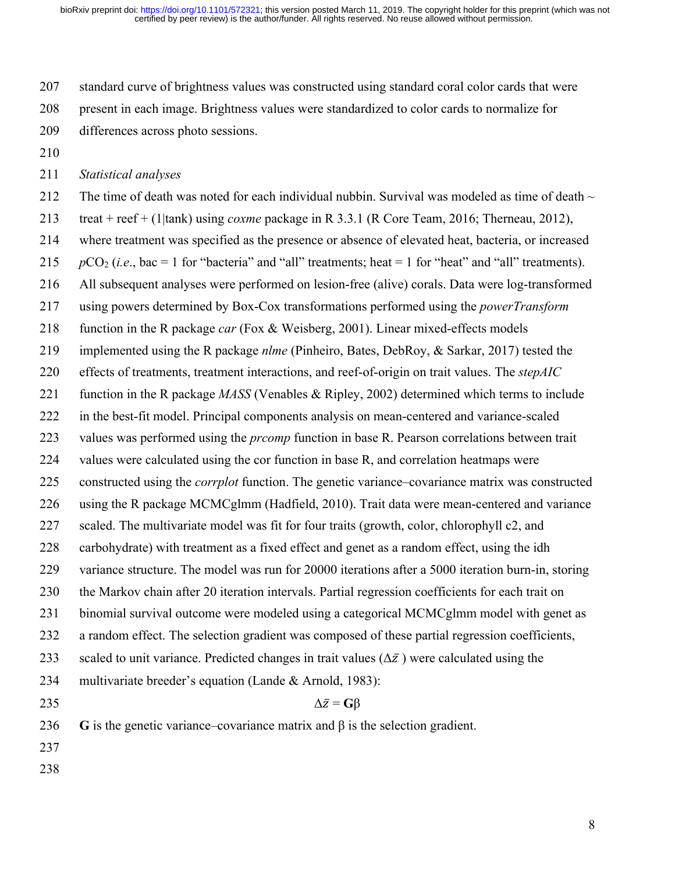certified by peer review) is the author/funder. All rights reserved. No reuse allowed without permission. bioRxiv preprint doi: [https://doi.org/10.1101/572321;](https://doi.org/10.1101/572321) this version posted March 11, 2019. The copyright holder for this preprint (which was not

 standard curve of brightness values was constructed using standard coral color cards that were present in each image. Brightness values were standardized to color cards to normalize for differences across photo sessions.

#### *Statistical analyses*

212 The time of death was noted for each individual nubbin. Survival was modeled as time of death  $\sim$  treat + reef + (1|tank) using *coxme* package in R 3.3.1 (R Core Team, 2016; Therneau, 2012), where treatment was specified as the presence or absence of elevated heat, bacteria, or increased  $pCO_2$  (*i.e.*, bac = 1 for "bacteria" and "all" treatments; heat = 1 for "heat" and "all" treatments). All subsequent analyses were performed on lesion-free (alive) corals. Data were log-transformed using powers determined by Box-Cox transformations performed using the *powerTransform* function in the R package *car* (Fox & Weisberg, 2001). Linear mixed-effects models implemented using the R package *nlme* (Pinheiro, Bates, DebRoy, & Sarkar, 2017) tested the effects of treatments, treatment interactions, and reef-of-origin on trait values. The *stepAIC* function in the R package *MASS* (Venables & Ripley, 2002) determined which terms to include in the best-fit model. Principal components analysis on mean-centered and variance-scaled values was performed using the *prcomp* function in base R. Pearson correlations between trait values were calculated using the cor function in base R, and correlation heatmaps were constructed using the *corrplot* function. The genetic variance–covariance matrix was constructed using the R package MCMCglmm (Hadfield, 2010). Trait data were mean-centered and variance scaled. The multivariate model was fit for four traits (growth, color, chlorophyll c2, and carbohydrate) with treatment as a fixed effect and genet as a random effect, using the idh variance structure. The model was run for 20000 iterations after a 5000 iteration burn-in, storing the Markov chain after 20 iteration intervals. Partial regression coefficients for each trait on binomial survival outcome were modeled using a categorical MCMCglmm model with genet as a random effect. The selection gradient was composed of these partial regression coefficients, 233 scaled to unit variance. Predicted changes in trait values  $(\Delta \bar{z})$  were calculated using the multivariate breeder's equation (Lande & Arnold, 1983):  $\Delta \bar{z} = \mathbf{G} \beta$  **G** is the genetic variance–covariance matrix and β is the selection gradient.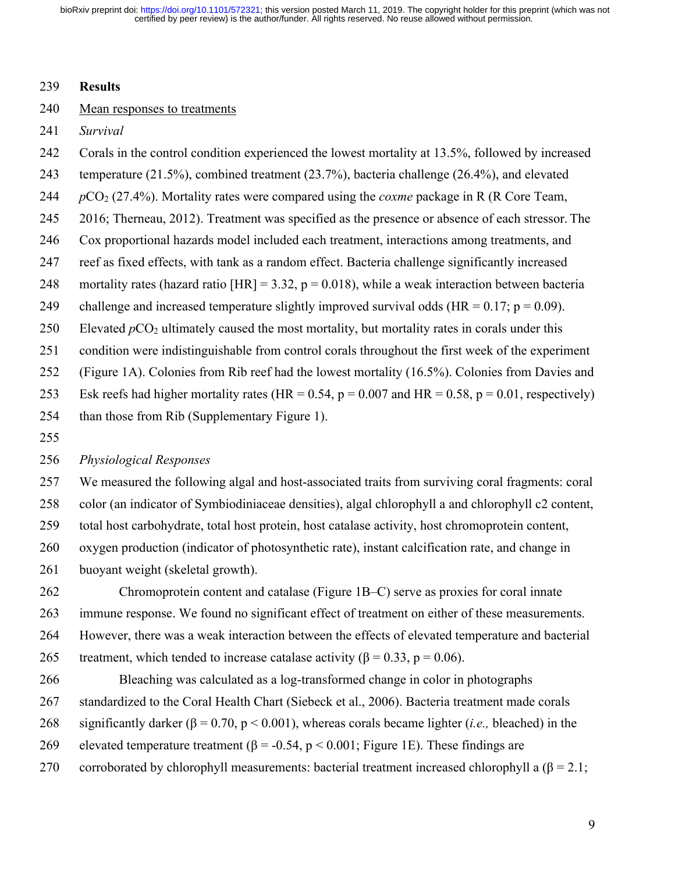#### **Results**

## Mean responses to treatments

*Survival*

- Corals in the control condition experienced the lowest mortality at 13.5%, followed by increased
- temperature (21.5%), combined treatment (23.7%), bacteria challenge (26.4%), and elevated
- $pCO<sub>2</sub>$  (27.4%). Mortality rates were compared using the *coxme* package in R (R Core Team,
- 2016; Therneau, 2012). Treatment was specified as the presence or absence of each stressor. The
- Cox proportional hazards model included each treatment, interactions among treatments, and
- reef as fixed effects, with tank as a random effect. Bacteria challenge significantly increased
- 248 mortality rates (hazard ratio  $[HR] = 3.32$ , p = 0.018), while a weak interaction between bacteria
- 249 challenge and increased temperature slightly improved survival odds (HR =  $0.17$ ; p = 0.09).
- 250 Elevated  $pCO<sub>2</sub>$  ultimately caused the most mortality, but mortality rates in corals under this
- condition were indistinguishable from control corals throughout the first week of the experiment
- (Figure 1A). Colonies from Rib reef had the lowest mortality (16.5%). Colonies from Davies and
- 253 Esk reefs had higher mortality rates (HR =  $0.54$ , p =  $0.007$  and HR =  $0.58$ , p =  $0.01$ , respectively)
- than those from Rib (Supplementary Figure 1).
- 

## *Physiological Responses*

 We measured the following algal and host-associated traits from surviving coral fragments: coral color (an indicator of Symbiodiniaceae densities), algal chlorophyll a and chlorophyll c2 content, total host carbohydrate, total host protein, host catalase activity, host chromoprotein content, oxygen production (indicator of photosynthetic rate), instant calcification rate, and change in

buoyant weight (skeletal growth).

 Chromoprotein content and catalase (Figure 1B–C) serve as proxies for coral innate immune response. We found no significant effect of treatment on either of these measurements. However, there was a weak interaction between the effects of elevated temperature and bacterial 265 treatment, which tended to increase catalase activity ( $\beta = 0.33$ ,  $p = 0.06$ ).

 Bleaching was calculated as a log-transformed change in color in photographs standardized to the Coral Health Chart (Siebeck et al., 2006). Bacteria treatment made corals significantly darker (β = 0.70, p < 0.001), whereas corals became lighter (*i.e.,* bleached) in the 269 elevated temperature treatment ( $\beta$  = -0.54, p < 0.001; Figure 1E). These findings are 270 corroborated by chlorophyll measurements: bacterial treatment increased chlorophyll a  $(\beta = 2.1;$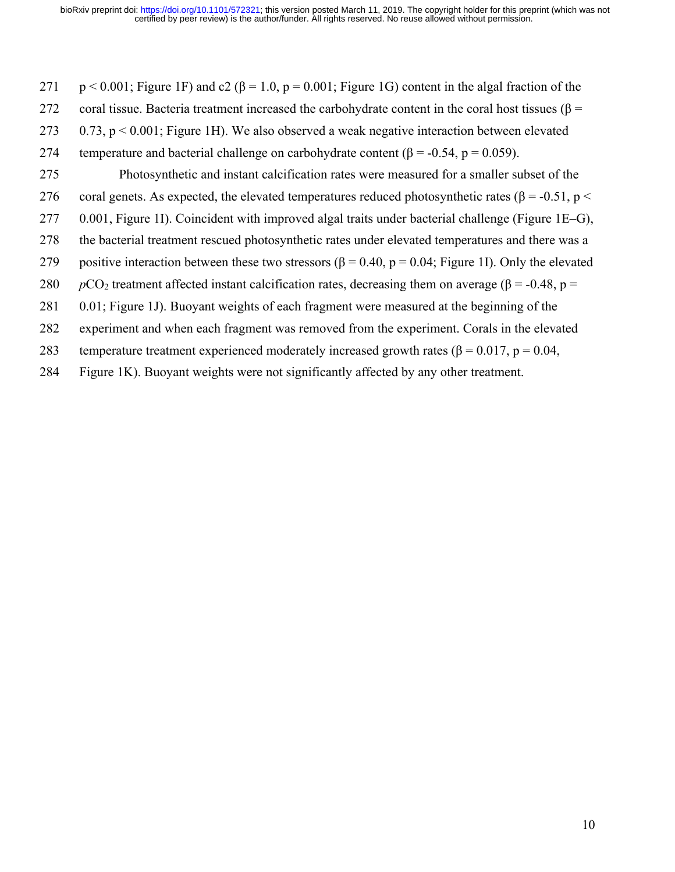- 271 p < 0.001; Figure 1F) and c2 ( $\beta$  = 1.0, p = 0.001; Figure 1G) content in the algal fraction of the 272 coral tissue. Bacteria treatment increased the carbohydrate content in the coral host tissues (β = 273 0.73, p < 0.001; Figure 1H). We also observed a weak negative interaction between elevated 274 temperature and bacterial challenge on carbohydrate content ( $\beta$  = -0.54, p = 0.059). 275 Photosynthetic and instant calcification rates were measured for a smaller subset of the 276 coral genets. As expected, the elevated temperatures reduced photosynthetic rates (β = -0.51, p < 277 0.001, Figure 1I). Coincident with improved algal traits under bacterial challenge (Figure 1E–G), 278 the bacterial treatment rescued photosynthetic rates under elevated temperatures and there was a 279 positive interaction between these two stressors ( $\beta = 0.40$ ,  $p = 0.04$ ; Figure 1I). Only the elevated 280 *p*CO<sub>2</sub> treatment affected instant calcification rates, decreasing them on average ( $\beta$  = -0.48, p = 281 0.01; Figure 1J). Buoyant weights of each fragment were measured at the beginning of the
- 282 experiment and when each fragment was removed from the experiment. Corals in the elevated
- 283 temperature treatment experienced moderately increased growth rates ( $\beta = 0.017$ ,  $p = 0.04$ ,
- 284 Figure 1K). Buoyant weights were not significantly affected by any other treatment.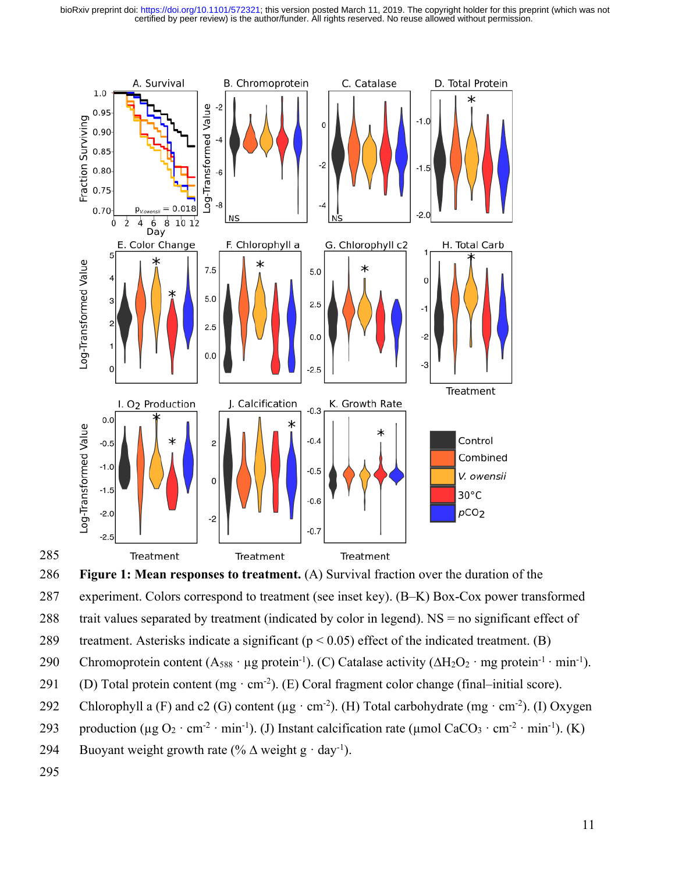certified by peer review) is the author/funder. All rights reserved. No reuse allowed without permission. bioRxiv preprint doi: [https://doi.org/10.1101/572321;](https://doi.org/10.1101/572321) this version posted March 11, 2019. The copyright holder for this preprint (which was not



286 **Figure 1: Mean responses to treatment.** (A) Survival fraction over the duration of the 287 experiment. Colors correspond to treatment (see inset key). (B–K) Box-Cox power transformed

288 trait values separated by treatment (indicated by color in legend). NS = no significant effect of

289 treatment. Asterisks indicate a significant ( $p < 0.05$ ) effect of the indicated treatment. (B)

290 Chromoprotein content  $(A_{588} \cdot \mu g$  protein<sup>-1</sup>). (C) Catalase activity  $(\Delta H_2O_2 \cdot mg$  protein<sup>-1</sup> · min<sup>-1</sup>).

(D) Total protein content (mg  $\cdot$  cm<sup>-2</sup>). (E) Coral fragment color change (final–initial score).

- 292 Chlorophyll a (F) and c2 (G) content ( $\mu$ g·cm<sup>-2</sup>). (H) Total carbohydrate (mg·cm<sup>-2</sup>). (I) Oxygen
- 293 production ( $\mu$ g O<sub>2</sub> · cm<sup>-2</sup> · min<sup>-1</sup>). (J) Instant calcification rate ( $\mu$ mol CaCO<sub>3</sub> · cm<sup>-2</sup> · min<sup>-1</sup>). (K)
- 294 Buoyant weight growth rate (%  $\Delta$  weight g · day<sup>-1</sup>).

295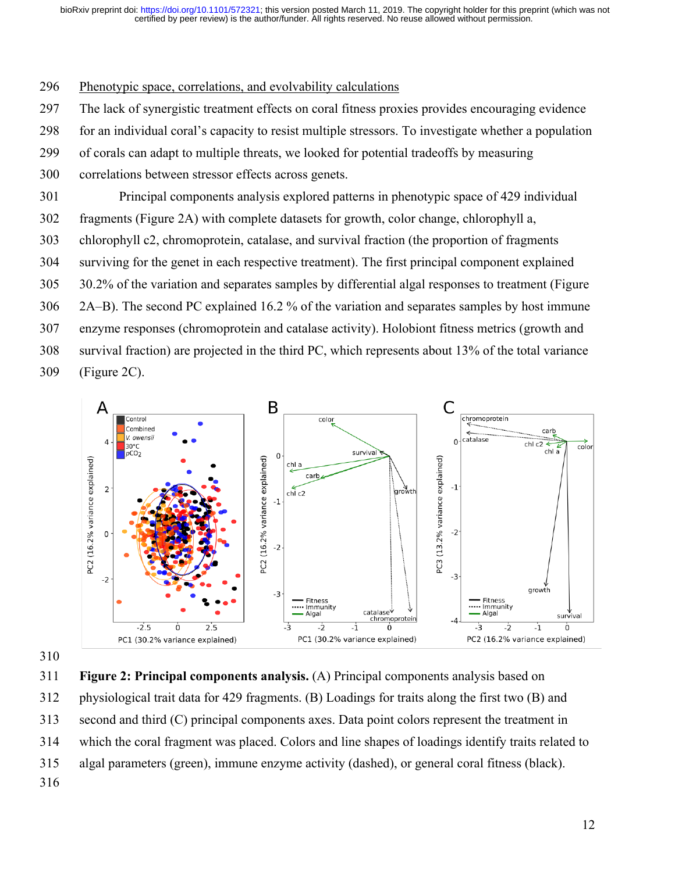#### Phenotypic space, correlations, and evolvability calculations

- The lack of synergistic treatment effects on coral fitness proxies provides encouraging evidence
- for an individual coral's capacity to resist multiple stressors. To investigate whether a population
- of corals can adapt to multiple threats, we looked for potential tradeoffs by measuring
- correlations between stressor effects across genets.
- Principal components analysis explored patterns in phenotypic space of 429 individual
- fragments (Figure 2A) with complete datasets for growth, color change, chlorophyll a,
- chlorophyll c2, chromoprotein, catalase, and survival fraction (the proportion of fragments
- surviving for the genet in each respective treatment). The first principal component explained
- 30.2% of the variation and separates samples by differential algal responses to treatment (Figure
- 2A–B). The second PC explained 16.2 % of the variation and separates samples by host immune
- enzyme responses (chromoprotein and catalase activity). Holobiont fitness metrics (growth and
- survival fraction) are projected in the third PC, which represents about 13% of the total variance
- (Figure 2C).





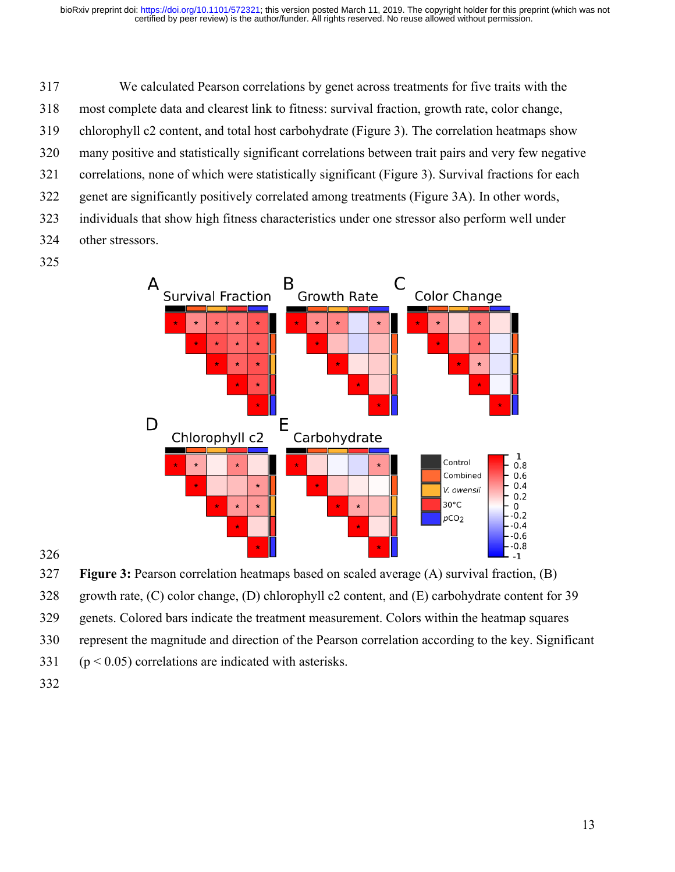We calculated Pearson correlations by genet across treatments for five traits with the most complete data and clearest link to fitness: survival fraction, growth rate, color change, chlorophyll c2 content, and total host carbohydrate (Figure 3). The correlation heatmaps show many positive and statistically significant correlations between trait pairs and very few negative correlations, none of which were statistically significant (Figure 3). Survival fractions for each genet are significantly positively correlated among treatments (Figure 3A). In other words, individuals that show high fitness characteristics under one stressor also perform well under other stressors.



**Figure 3:** Pearson correlation heatmaps based on scaled average (A) survival fraction, (B)

growth rate, (C) color change, (D) chlorophyll c2 content, and (E) carbohydrate content for 39

genets. Colored bars indicate the treatment measurement. Colors within the heatmap squares

represent the magnitude and direction of the Pearson correlation according to the key. Significant

- (p < 0.05) correlations are indicated with asterisks.
-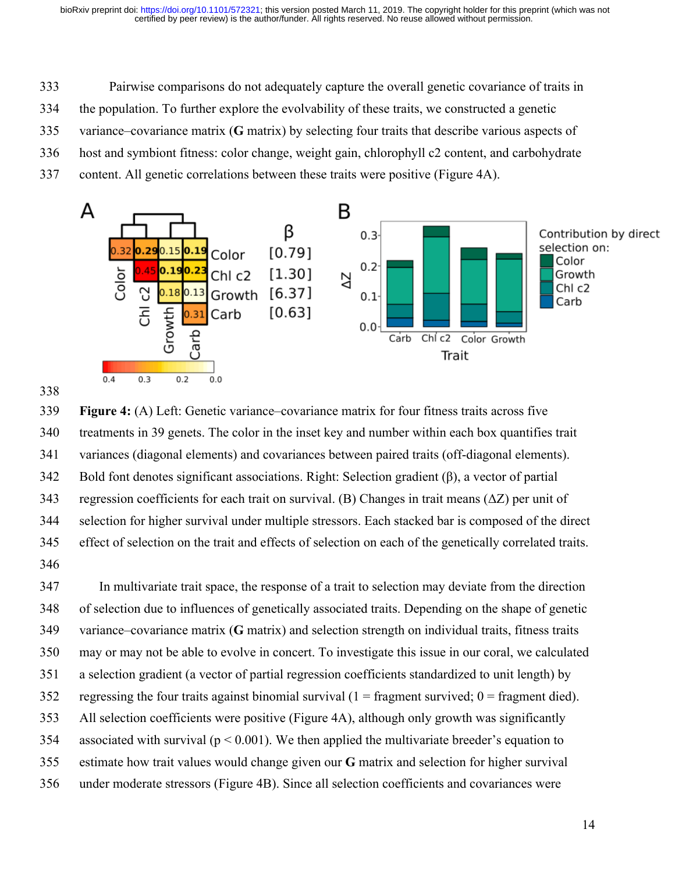Pairwise comparisons do not adequately capture the overall genetic covariance of traits in

the population. To further explore the evolvability of these traits, we constructed a genetic

variance–covariance matrix (**G** matrix) by selecting four traits that describe various aspects of

host and symbiont fitness: color change, weight gain, chlorophyll c2 content, and carbohydrate

content. All genetic correlations between these traits were positive (Figure 4A).



 **Figure 4:** (A) Left: Genetic variance–covariance matrix for four fitness traits across five treatments in 39 genets. The color in the inset key and number within each box quantifies trait variances (diagonal elements) and covariances between paired traits (off-diagonal elements). Bold font denotes significant associations. Right: Selection gradient (β), a vector of partial 343 regression coefficients for each trait on survival. (B) Changes in trait means  $(\Delta Z)$  per unit of selection for higher survival under multiple stressors. Each stacked bar is composed of the direct effect of selection on the trait and effects of selection on each of the genetically correlated traits. 

 In multivariate trait space, the response of a trait to selection may deviate from the direction of selection due to influences of genetically associated traits. Depending on the shape of genetic variance–covariance matrix (**G** matrix) and selection strength on individual traits, fitness traits may or may not be able to evolve in concert. To investigate this issue in our coral, we calculated a selection gradient (a vector of partial regression coefficients standardized to unit length) by 352 regressing the four traits against binomial survival  $(1 =$  fragment survived;  $0 =$  fragment died). All selection coefficients were positive (Figure 4A), although only growth was significantly 354 associated with survival ( $p < 0.001$ ). We then applied the multivariate breeder's equation to estimate how trait values would change given our **G** matrix and selection for higher survival under moderate stressors (Figure 4B). Since all selection coefficients and covariances were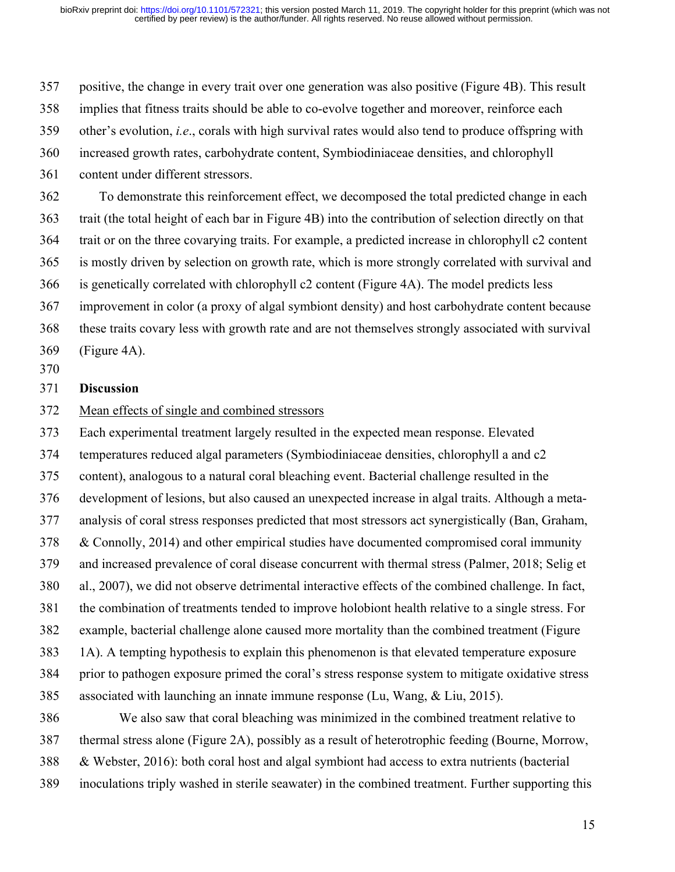positive, the change in every trait over one generation was also positive (Figure 4B). This result

implies that fitness traits should be able to co-evolve together and moreover, reinforce each

other's evolution, *i.e*., corals with high survival rates would also tend to produce offspring with

increased growth rates, carbohydrate content, Symbiodiniaceae densities, and chlorophyll

content under different stressors.

 To demonstrate this reinforcement effect, we decomposed the total predicted change in each trait (the total height of each bar in Figure 4B) into the contribution of selection directly on that trait or on the three covarying traits. For example, a predicted increase in chlorophyll c2 content is mostly driven by selection on growth rate, which is more strongly correlated with survival and is genetically correlated with chlorophyll c2 content (Figure 4A). The model predicts less improvement in color (a proxy of algal symbiont density) and host carbohydrate content because these traits covary less with growth rate and are not themselves strongly associated with survival (Figure 4A).

## **Discussion**

Mean effects of single and combined stressors

 Each experimental treatment largely resulted in the expected mean response. Elevated temperatures reduced algal parameters (Symbiodiniaceae densities, chlorophyll a and c2 content), analogous to a natural coral bleaching event. Bacterial challenge resulted in the development of lesions, but also caused an unexpected increase in algal traits. Although a meta- analysis of coral stress responses predicted that most stressors act synergistically (Ban, Graham, & Connolly, 2014) and other empirical studies have documented compromised coral immunity and increased prevalence of coral disease concurrent with thermal stress (Palmer, 2018; Selig et al., 2007), we did not observe detrimental interactive effects of the combined challenge. In fact, the combination of treatments tended to improve holobiont health relative to a single stress. For example, bacterial challenge alone caused more mortality than the combined treatment (Figure 1A). A tempting hypothesis to explain this phenomenon is that elevated temperature exposure prior to pathogen exposure primed the coral's stress response system to mitigate oxidative stress associated with launching an innate immune response (Lu, Wang, & Liu, 2015).

 We also saw that coral bleaching was minimized in the combined treatment relative to thermal stress alone (Figure 2A), possibly as a result of heterotrophic feeding (Bourne, Morrow, & Webster, 2016): both coral host and algal symbiont had access to extra nutrients (bacterial inoculations triply washed in sterile seawater) in the combined treatment. Further supporting this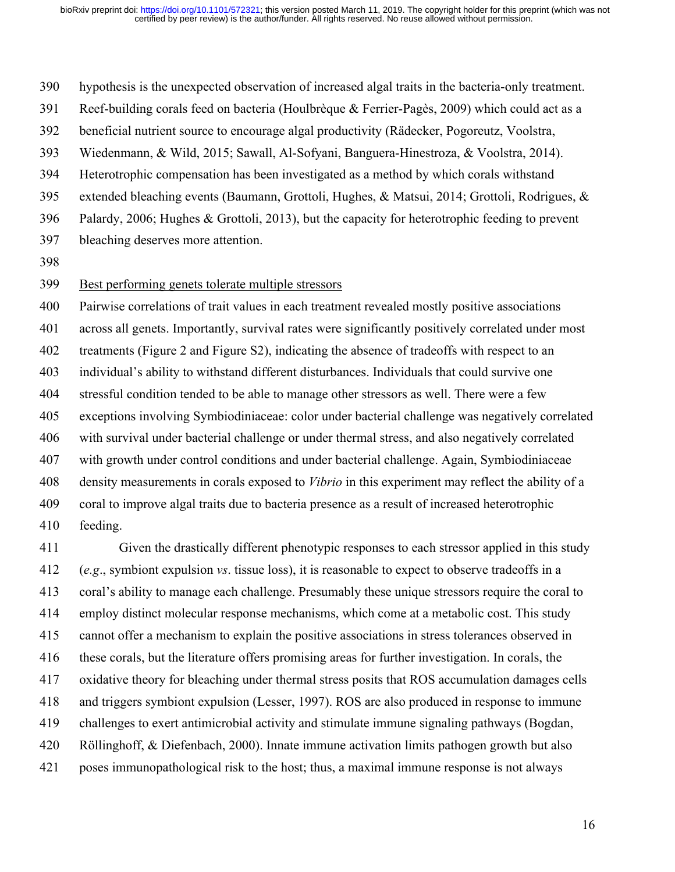hypothesis is the unexpected observation of increased algal traits in the bacteria-only treatment.

Reef-building corals feed on bacteria (Houlbrèque & Ferrier-Pagès, 2009) which could act as a

beneficial nutrient source to encourage algal productivity (Rädecker, Pogoreutz, Voolstra,

Wiedenmann, & Wild, 2015; Sawall, Al-Sofyani, Banguera-Hinestroza, & Voolstra, 2014).

Heterotrophic compensation has been investigated as a method by which corals withstand

extended bleaching events (Baumann, Grottoli, Hughes, & Matsui, 2014; Grottoli, Rodrigues, &

Palardy, 2006; Hughes & Grottoli, 2013), but the capacity for heterotrophic feeding to prevent

- bleaching deserves more attention.
- 

# Best performing genets tolerate multiple stressors

 Pairwise correlations of trait values in each treatment revealed mostly positive associations across all genets. Importantly, survival rates were significantly positively correlated under most 402 treatments (Figure 2 and Figure S2), indicating the absence of tradeoffs with respect to an individual's ability to withstand different disturbances. Individuals that could survive one stressful condition tended to be able to manage other stressors as well. There were a few exceptions involving Symbiodiniaceae: color under bacterial challenge was negatively correlated with survival under bacterial challenge or under thermal stress, and also negatively correlated with growth under control conditions and under bacterial challenge. Again, Symbiodiniaceae density measurements in corals exposed to *Vibrio* in this experiment may reflect the ability of a coral to improve algal traits due to bacteria presence as a result of increased heterotrophic feeding.

 Given the drastically different phenotypic responses to each stressor applied in this study (*e.g*., symbiont expulsion *vs*. tissue loss), it is reasonable to expect to observe tradeoffs in a coral's ability to manage each challenge. Presumably these unique stressors require the coral to employ distinct molecular response mechanisms, which come at a metabolic cost. This study cannot offer a mechanism to explain the positive associations in stress tolerances observed in these corals, but the literature offers promising areas for further investigation. In corals, the oxidative theory for bleaching under thermal stress posits that ROS accumulation damages cells and triggers symbiont expulsion (Lesser, 1997). ROS are also produced in response to immune challenges to exert antimicrobial activity and stimulate immune signaling pathways (Bogdan, Röllinghoff, & Diefenbach, 2000). Innate immune activation limits pathogen growth but also poses immunopathological risk to the host; thus, a maximal immune response is not always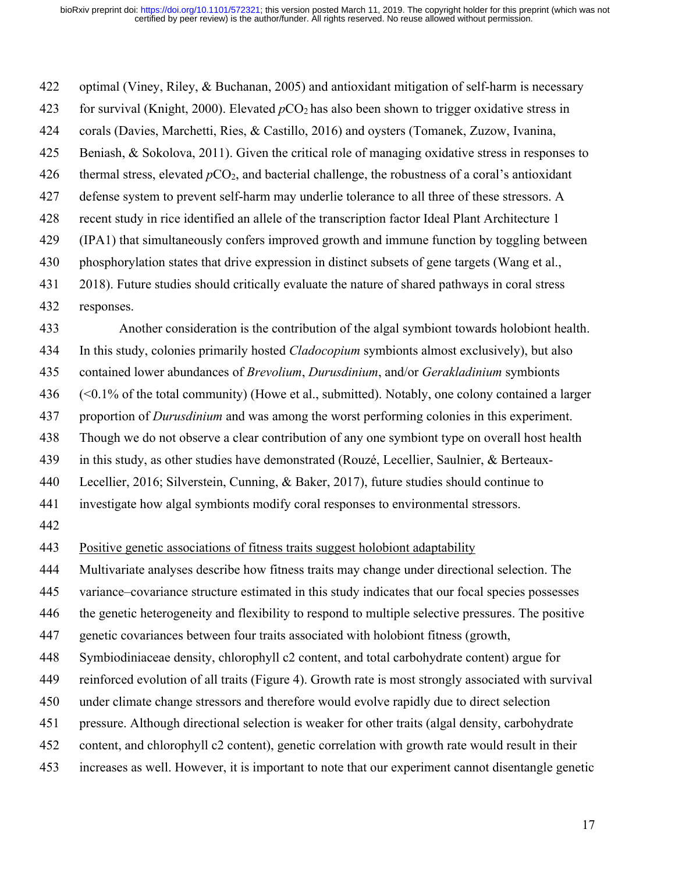optimal (Viney, Riley, & Buchanan, 2005) and antioxidant mitigation of self-harm is necessary 423 for survival (Knight, 2000). Elevated  $pCO<sub>2</sub>$  has also been shown to trigger oxidative stress in corals (Davies, Marchetti, Ries, & Castillo, 2016) and oysters (Tomanek, Zuzow, Ivanina, Beniash, & Sokolova, 2011). Given the critical role of managing oxidative stress in responses to 426 thermal stress, elevated  $pCO_2$ , and bacterial challenge, the robustness of a coral's antioxidant defense system to prevent self-harm may underlie tolerance to all three of these stressors. A recent study in rice identified an allele of the transcription factor Ideal Plant Architecture 1 (IPA1) that simultaneously confers improved growth and immune function by toggling between phosphorylation states that drive expression in distinct subsets of gene targets (Wang et al., 2018). Future studies should critically evaluate the nature of shared pathways in coral stress responses. Another consideration is the contribution of the algal symbiont towards holobiont health. In this study, colonies primarily hosted *Cladocopium* symbionts almost exclusively), but also

contained lower abundances of *Brevolium*, *Durusdinium*, and/or *Gerakladinium* symbionts

(<0.1% of the total community) (Howe et al., submitted). Notably, one colony contained a larger

proportion of *Durusdinium* and was among the worst performing colonies in this experiment.

Though we do not observe a clear contribution of any one symbiont type on overall host health

in this study, as other studies have demonstrated (Rouzé, Lecellier, Saulnier, & Berteaux-

Lecellier, 2016; Silverstein, Cunning, & Baker, 2017), future studies should continue to

investigate how algal symbionts modify coral responses to environmental stressors.

Positive genetic associations of fitness traits suggest holobiont adaptability

Multivariate analyses describe how fitness traits may change under directional selection. The

variance–covariance structure estimated in this study indicates that our focal species possesses

the genetic heterogeneity and flexibility to respond to multiple selective pressures. The positive

genetic covariances between four traits associated with holobiont fitness (growth,

Symbiodiniaceae density, chlorophyll c2 content, and total carbohydrate content) argue for

reinforced evolution of all traits (Figure 4). Growth rate is most strongly associated with survival

under climate change stressors and therefore would evolve rapidly due to direct selection

pressure. Although directional selection is weaker for other traits (algal density, carbohydrate

content, and chlorophyll c2 content), genetic correlation with growth rate would result in their

increases as well. However, it is important to note that our experiment cannot disentangle genetic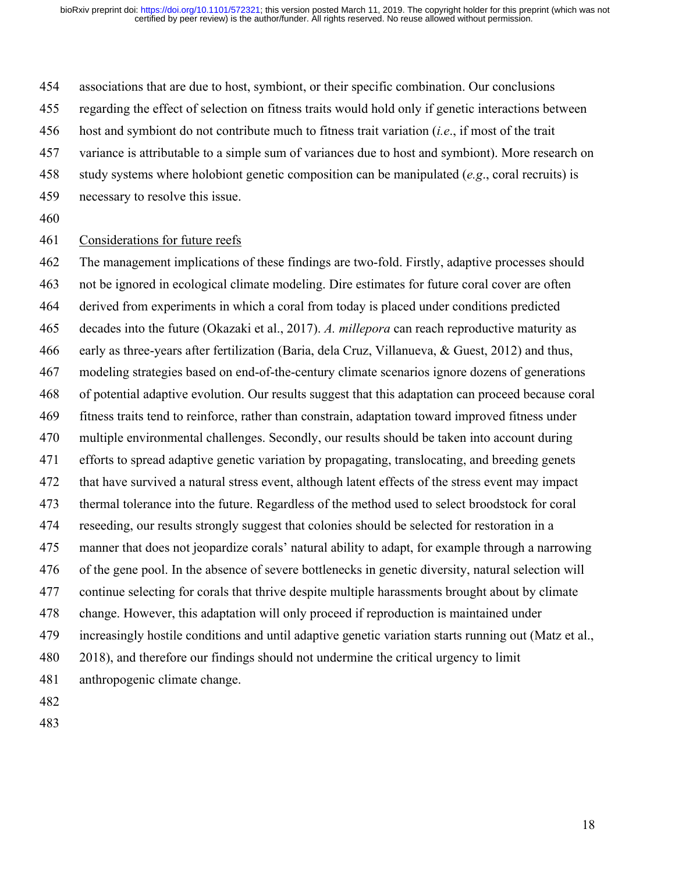associations that are due to host, symbiont, or their specific combination. Our conclusions

regarding the effect of selection on fitness traits would hold only if genetic interactions between

- host and symbiont do not contribute much to fitness trait variation (*i.e*., if most of the trait
- variance is attributable to a simple sum of variances due to host and symbiont). More research on
- study systems where holobiont genetic composition can be manipulated (*e.g*., coral recruits) is
- necessary to resolve this issue.
- 

# Considerations for future reefs

 The management implications of these findings are two-fold. Firstly, adaptive processes should not be ignored in ecological climate modeling. Dire estimates for future coral cover are often derived from experiments in which a coral from today is placed under conditions predicted decades into the future (Okazaki et al., 2017). *A. millepora* can reach reproductive maturity as early as three-years after fertilization (Baria, dela Cruz, Villanueva, & Guest, 2012) and thus, modeling strategies based on end-of-the-century climate scenarios ignore dozens of generations of potential adaptive evolution. Our results suggest that this adaptation can proceed because coral fitness traits tend to reinforce, rather than constrain, adaptation toward improved fitness under multiple environmental challenges. Secondly, our results should be taken into account during efforts to spread adaptive genetic variation by propagating, translocating, and breeding genets that have survived a natural stress event, although latent effects of the stress event may impact thermal tolerance into the future. Regardless of the method used to select broodstock for coral reseeding, our results strongly suggest that colonies should be selected for restoration in a manner that does not jeopardize corals' natural ability to adapt, for example through a narrowing of the gene pool. In the absence of severe bottlenecks in genetic diversity, natural selection will continue selecting for corals that thrive despite multiple harassments brought about by climate change. However, this adaptation will only proceed if reproduction is maintained under increasingly hostile conditions and until adaptive genetic variation starts running out (Matz et al., 2018), and therefore our findings should not undermine the critical urgency to limit anthropogenic climate change.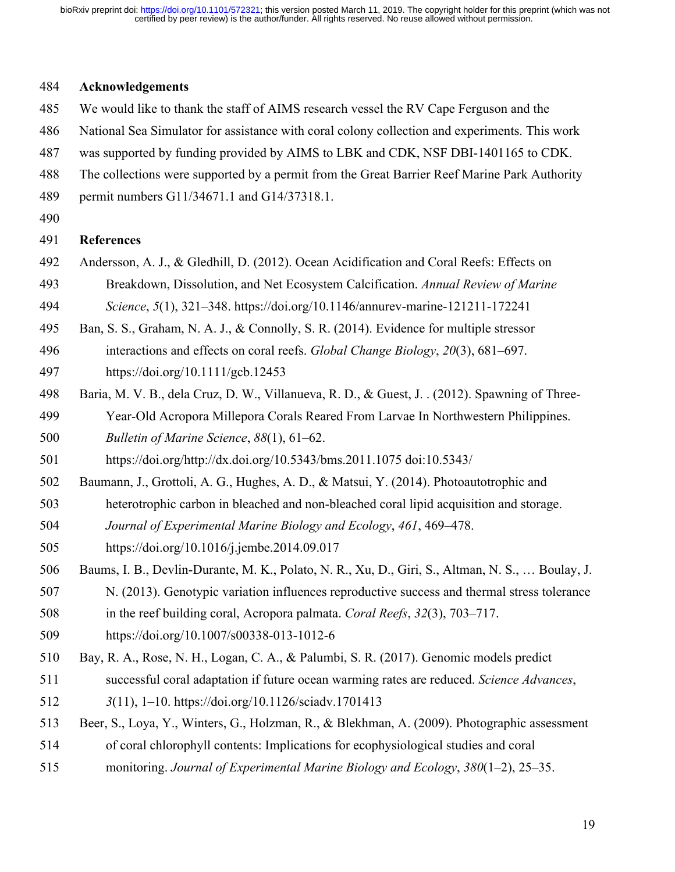#### **Acknowledgements**

- We would like to thank the staff of AIMS research vessel the RV Cape Ferguson and the
- National Sea Simulator for assistance with coral colony collection and experiments. This work
- was supported by funding provided by AIMS to LBK and CDK, NSF DBI-1401165 to CDK.
- The collections were supported by a permit from the Great Barrier Reef Marine Park Authority
- permit numbers G11/34671.1 and G14/37318.1.
- 

## **References**

- Andersson, A. J., & Gledhill, D. (2012). Ocean Acidification and Coral Reefs: Effects on Breakdown, Dissolution, and Net Ecosystem Calcification. *Annual Review of Marine*
- *Science*, *5*(1), 321–348. https://doi.org/10.1146/annurev-marine-121211-172241
- Ban, S. S., Graham, N. A. J., & Connolly, S. R. (2014). Evidence for multiple stressor
- interactions and effects on coral reefs. *Global Change Biology*, *20*(3), 681–697. https://doi.org/10.1111/gcb.12453
- Baria, M. V. B., dela Cruz, D. W., Villanueva, R. D., & Guest, J. . (2012). Spawning of Three-
- Year-Old Acropora Millepora Corals Reared From Larvae In Northwestern Philippines. *Bulletin of Marine Science*, *88*(1), 61–62.
- https://doi.org/http://dx.doi.org/10.5343/bms.2011.1075 doi:10.5343/
- Baumann, J., Grottoli, A. G., Hughes, A. D., & Matsui, Y. (2014). Photoautotrophic and
- heterotrophic carbon in bleached and non-bleached coral lipid acquisition and storage.
- *Journal of Experimental Marine Biology and Ecology*, *461*, 469–478.
- https://doi.org/10.1016/j.jembe.2014.09.017
- Baums, I. B., Devlin-Durante, M. K., Polato, N. R., Xu, D., Giri, S., Altman, N. S., … Boulay, J.
- N. (2013). Genotypic variation influences reproductive success and thermal stress tolerance
- in the reef building coral, Acropora palmata. *Coral Reefs*, *32*(3), 703–717.
- https://doi.org/10.1007/s00338-013-1012-6
- Bay, R. A., Rose, N. H., Logan, C. A., & Palumbi, S. R. (2017). Genomic models predict
- successful coral adaptation if future ocean warming rates are reduced. *Science Advances*,
- *3*(11), 1–10. https://doi.org/10.1126/sciadv.1701413
- Beer, S., Loya, Y., Winters, G., Holzman, R., & Blekhman, A. (2009). Photographic assessment
- of coral chlorophyll contents: Implications for ecophysiological studies and coral
- monitoring. *Journal of Experimental Marine Biology and Ecology*, *380*(1–2), 25–35.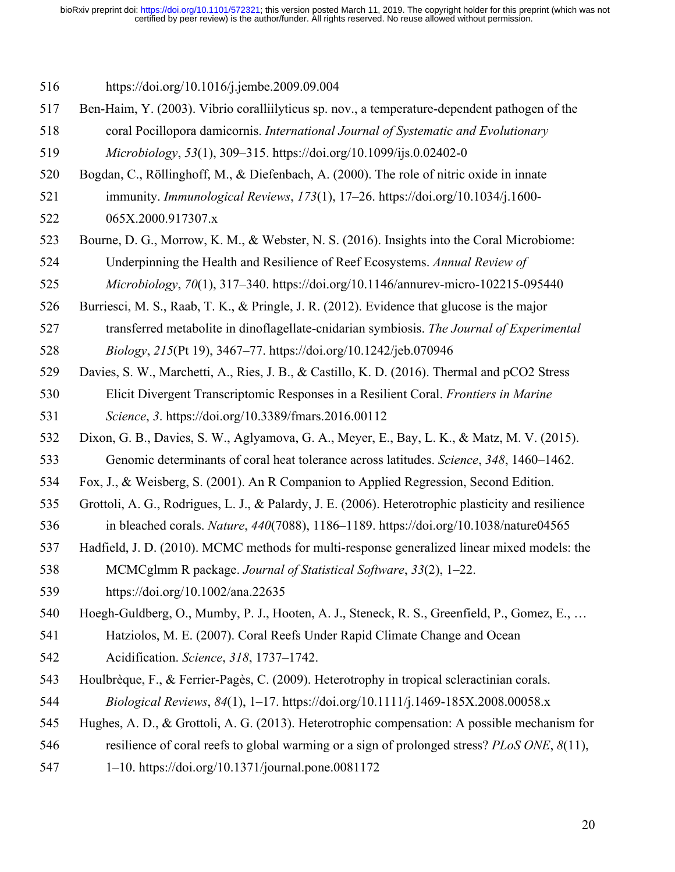https://doi.org/10.1016/j.jembe.2009.09.004

 Ben-Haim, Y. (2003). Vibrio coralliilyticus sp. nov., a temperature-dependent pathogen of the coral Pocillopora damicornis. *International Journal of Systematic and Evolutionary* 

*Microbiology*, *53*(1), 309–315. https://doi.org/10.1099/ijs.0.02402-0

- Bogdan, C., Röllinghoff, M., & Diefenbach, A. (2000). The role of nitric oxide in innate immunity. *Immunological Reviews*, *173*(1), 17–26. https://doi.org/10.1034/j.1600-
- 065X.2000.917307.x
- Bourne, D. G., Morrow, K. M., & Webster, N. S. (2016). Insights into the Coral Microbiome: Underpinning the Health and Resilience of Reef Ecosystems. *Annual Review of*

*Microbiology*, *70*(1), 317–340. https://doi.org/10.1146/annurev-micro-102215-095440

- Burriesci, M. S., Raab, T. K., & Pringle, J. R. (2012). Evidence that glucose is the major
- transferred metabolite in dinoflagellate-cnidarian symbiosis. *The Journal of Experimental Biology*, *215*(Pt 19), 3467–77. https://doi.org/10.1242/jeb.070946
- Davies, S. W., Marchetti, A., Ries, J. B., & Castillo, K. D. (2016). Thermal and pCO2 Stress Elicit Divergent Transcriptomic Responses in a Resilient Coral. *Frontiers in Marine Science*, *3*. https://doi.org/10.3389/fmars.2016.00112
- Dixon, G. B., Davies, S. W., Aglyamova, G. A., Meyer, E., Bay, L. K., & Matz, M. V. (2015). Genomic determinants of coral heat tolerance across latitudes. *Science*, *348*, 1460–1462.
- Fox, J., & Weisberg, S. (2001). An R Companion to Applied Regression, Second Edition.
- Grottoli, A. G., Rodrigues, L. J., & Palardy, J. E. (2006). Heterotrophic plasticity and resilience
- in bleached corals. *Nature*, *440*(7088), 1186–1189. https://doi.org/10.1038/nature04565
- Hadfield, J. D. (2010). MCMC methods for multi-response generalized linear mixed models: the MCMCglmm R package. *Journal of Statistical Software*, *33*(2), 1–22.
- https://doi.org/10.1002/ana.22635
- Hoegh-Guldberg, O., Mumby, P. J., Hooten, A. J., Steneck, R. S., Greenfield, P., Gomez, E., …
- Hatziolos, M. E. (2007). Coral Reefs Under Rapid Climate Change and Ocean Acidification. *Science*, *318*, 1737–1742.
- Houlbrèque, F., & Ferrier-Pagès, C. (2009). Heterotrophy in tropical scleractinian corals. *Biological Reviews*, *84*(1), 1–17. https://doi.org/10.1111/j.1469-185X.2008.00058.x
- Hughes, A. D., & Grottoli, A. G. (2013). Heterotrophic compensation: A possible mechanism for
- resilience of coral reefs to global warming or a sign of prolonged stress? *PLoS ONE*, *8*(11),
- 1–10. https://doi.org/10.1371/journal.pone.0081172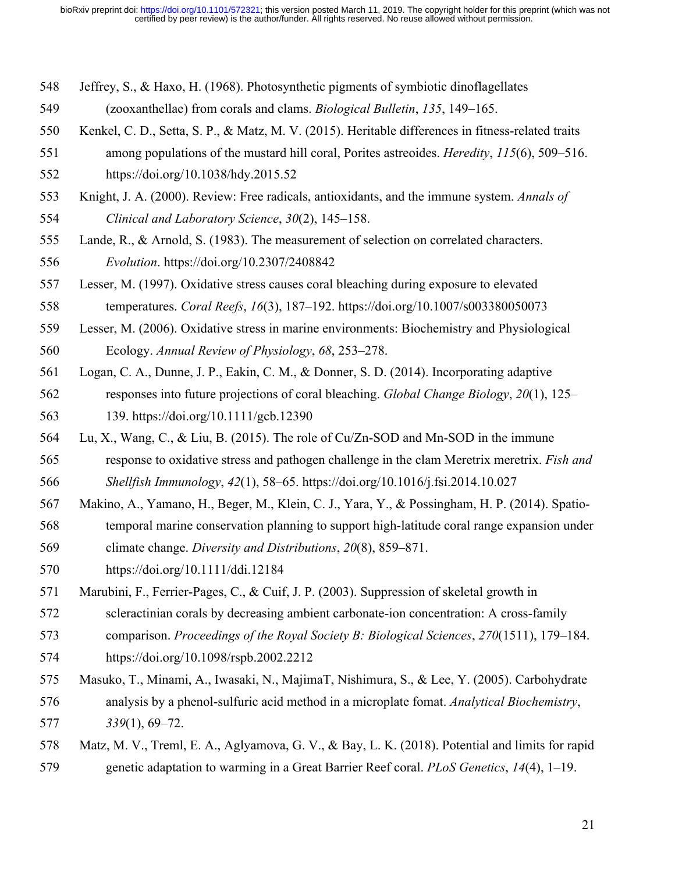- Jeffrey, S., & Haxo, H. (1968). Photosynthetic pigments of symbiotic dinoflagellates
- (zooxanthellae) from corals and clams. *Biological Bulletin*, *135*, 149–165.
- Kenkel, C. D., Setta, S. P., & Matz, M. V. (2015). Heritable differences in fitness-related traits
- among populations of the mustard hill coral, Porites astreoides. *Heredity*, *115*(6), 509–516. https://doi.org/10.1038/hdy.2015.52
- Knight, J. A. (2000). Review: Free radicals, antioxidants, and the immune system. *Annals of Clinical and Laboratory Science*, *30*(2), 145–158.
- Lande, R., & Arnold, S. (1983). The measurement of selection on correlated characters. *Evolution*. https://doi.org/10.2307/2408842
- Lesser, M. (1997). Oxidative stress causes coral bleaching during exposure to elevated
- temperatures. *Coral Reefs*, *16*(3), 187–192. https://doi.org/10.1007/s003380050073
- Lesser, M. (2006). Oxidative stress in marine environments: Biochemistry and Physiological Ecology. *Annual Review of Physiology*, *68*, 253–278.
- Logan, C. A., Dunne, J. P., Eakin, C. M., & Donner, S. D. (2014). Incorporating adaptive responses into future projections of coral bleaching. *Global Change Biology*, *20*(1), 125– 139. https://doi.org/10.1111/gcb.12390
- Lu, X., Wang, C., & Liu, B. (2015). The role of Cu/Zn-SOD and Mn-SOD in the immune
- response to oxidative stress and pathogen challenge in the clam Meretrix meretrix. *Fish and Shellfish Immunology*, *42*(1), 58–65. https://doi.org/10.1016/j.fsi.2014.10.027
- Makino, A., Yamano, H., Beger, M., Klein, C. J., Yara, Y., & Possingham, H. P. (2014). Spatio-
- temporal marine conservation planning to support high-latitude coral range expansion under climate change. *Diversity and Distributions*, *20*(8), 859–871.
- https://doi.org/10.1111/ddi.12184
- Marubini, F., Ferrier-Pages, C., & Cuif, J. P. (2003). Suppression of skeletal growth in
- scleractinian corals by decreasing ambient carbonate-ion concentration: A cross-family
- comparison. *Proceedings of the Royal Society B: Biological Sciences*, *270*(1511), 179–184. https://doi.org/10.1098/rspb.2002.2212
- Masuko, T., Minami, A., Iwasaki, N., MajimaT, Nishimura, S., & Lee, Y. (2005). Carbohydrate analysis by a phenol-sulfuric acid method in a microplate fomat. *Analytical Biochemistry*, *339*(1), 69–72.
- Matz, M. V., Treml, E. A., Aglyamova, G. V., & Bay, L. K. (2018). Potential and limits for rapid genetic adaptation to warming in a Great Barrier Reef coral. *PLoS Genetics*, *14*(4), 1–19.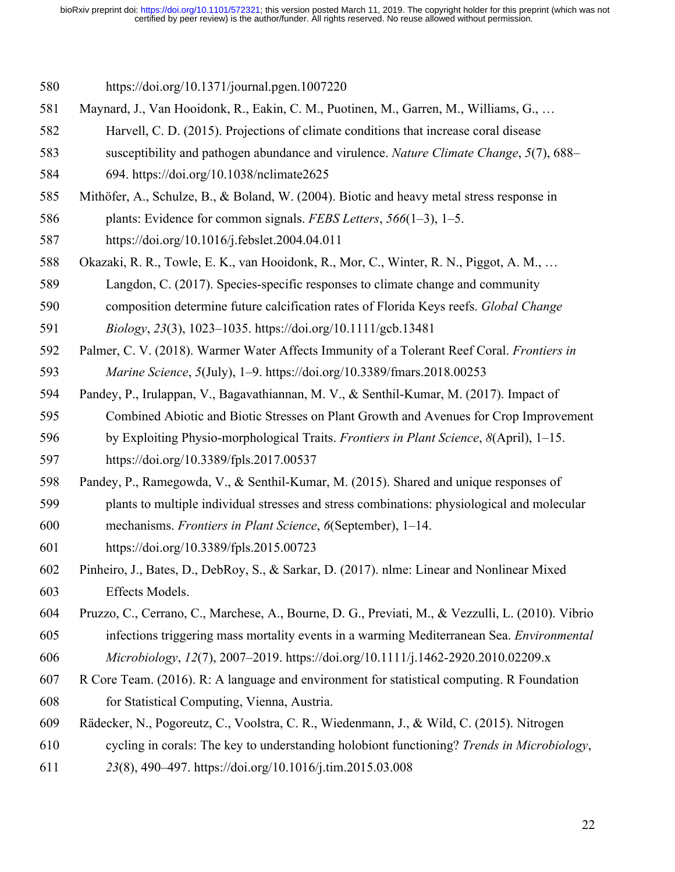https://doi.org/10.1371/journal.pgen.1007220

- Maynard, J., Van Hooidonk, R., Eakin, C. M., Puotinen, M., Garren, M., Williams, G., …
- Harvell, C. D. (2015). Projections of climate conditions that increase coral disease
- susceptibility and pathogen abundance and virulence. *Nature Climate Change*, *5*(7), 688–

694. https://doi.org/10.1038/nclimate2625

- Mithöfer, A., Schulze, B., & Boland, W. (2004). Biotic and heavy metal stress response in
- plants: Evidence for common signals. *FEBS Letters*, *566*(1–3), 1–5.
- https://doi.org/10.1016/j.febslet.2004.04.011
- Okazaki, R. R., Towle, E. K., van Hooidonk, R., Mor, C., Winter, R. N., Piggot, A. M., …
- Langdon, C. (2017). Species-specific responses to climate change and community
- composition determine future calcification rates of Florida Keys reefs. *Global Change*
- *Biology*, *23*(3), 1023–1035. https://doi.org/10.1111/gcb.13481
- Palmer, C. V. (2018). Warmer Water Affects Immunity of a Tolerant Reef Coral. *Frontiers in Marine Science*, *5*(July), 1–9. https://doi.org/10.3389/fmars.2018.00253
- Pandey, P., Irulappan, V., Bagavathiannan, M. V., & Senthil-Kumar, M. (2017). Impact of
- Combined Abiotic and Biotic Stresses on Plant Growth and Avenues for Crop Improvement
- by Exploiting Physio-morphological Traits. *Frontiers in Plant Science*, *8*(April), 1–15.

https://doi.org/10.3389/fpls.2017.00537

Pandey, P., Ramegowda, V., & Senthil-Kumar, M. (2015). Shared and unique responses of

plants to multiple individual stresses and stress combinations: physiological and molecular

- mechanisms. *Frontiers in Plant Science*, *6*(September), 1–14.
- https://doi.org/10.3389/fpls.2015.00723
- Pinheiro, J., Bates, D., DebRoy, S., & Sarkar, D. (2017). nlme: Linear and Nonlinear Mixed Effects Models.
- Pruzzo, C., Cerrano, C., Marchese, A., Bourne, D. G., Previati, M., & Vezzulli, L. (2010). Vibrio
- infections triggering mass mortality events in a warming Mediterranean Sea. *Environmental Microbiology*, *12*(7), 2007–2019. https://doi.org/10.1111/j.1462-2920.2010.02209.x
- R Core Team. (2016). R: A language and environment for statistical computing. R Foundation for Statistical Computing, Vienna, Austria.
- Rädecker, N., Pogoreutz, C., Voolstra, C. R., Wiedenmann, J., & Wild, C. (2015). Nitrogen
- cycling in corals: The key to understanding holobiont functioning? *Trends in Microbiology*,
- *23*(8), 490–497. https://doi.org/10.1016/j.tim.2015.03.008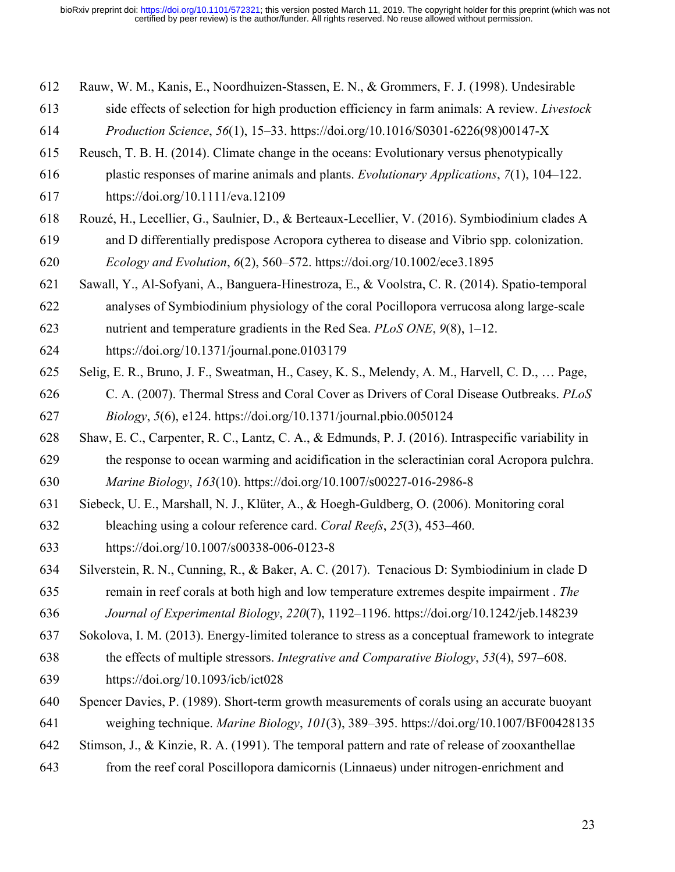- Rauw, W. M., Kanis, E., Noordhuizen-Stassen, E. N., & Grommers, F. J. (1998). Undesirable
- side effects of selection for high production efficiency in farm animals: A review. *Livestock*
- *Production Science*, *56*(1), 15–33. https://doi.org/10.1016/S0301-6226(98)00147-X
- Reusch, T. B. H. (2014). Climate change in the oceans: Evolutionary versus phenotypically
- plastic responses of marine animals and plants. *Evolutionary Applications*, *7*(1), 104–122.

https://doi.org/10.1111/eva.12109

- Rouzé, H., Lecellier, G., Saulnier, D., & Berteaux-Lecellier, V. (2016). Symbiodinium clades A and D differentially predispose Acropora cytherea to disease and Vibrio spp. colonization. *Ecology and Evolution*, *6*(2), 560–572. https://doi.org/10.1002/ece3.1895
- Sawall, Y., Al-Sofyani, A., Banguera-Hinestroza, E., & Voolstra, C. R. (2014). Spatio-temporal
- analyses of Symbiodinium physiology of the coral Pocillopora verrucosa along large-scale
- nutrient and temperature gradients in the Red Sea. *PLoS ONE*, *9*(8), 1–12.
- https://doi.org/10.1371/journal.pone.0103179
- Selig, E. R., Bruno, J. F., Sweatman, H., Casey, K. S., Melendy, A. M., Harvell, C. D., … Page, C. A. (2007). Thermal Stress and Coral Cover as Drivers of Coral Disease Outbreaks. *PLoS Biology*, *5*(6), e124. https://doi.org/10.1371/journal.pbio.0050124
- Shaw, E. C., Carpenter, R. C., Lantz, C. A., & Edmunds, P. J. (2016). Intraspecific variability in the response to ocean warming and acidification in the scleractinian coral Acropora pulchra.
- *Marine Biology*, *163*(10). https://doi.org/10.1007/s00227-016-2986-8
- Siebeck, U. E., Marshall, N. J., Klüter, A., & Hoegh-Guldberg, O. (2006). Monitoring coral
- bleaching using a colour reference card. *Coral Reefs*, *25*(3), 453–460. https://doi.org/10.1007/s00338-006-0123-8
- Silverstein, R. N., Cunning, R., & Baker, A. C. (2017). Tenacious D: Symbiodinium in clade D remain in reef corals at both high and low temperature extremes despite impairment . *The*
- *Journal of Experimental Biology*, *220*(7), 1192–1196. https://doi.org/10.1242/jeb.148239
- Sokolova, I. M. (2013). Energy-limited tolerance to stress as a conceptual framework to integrate
- the effects of multiple stressors. *Integrative and Comparative Biology*, *53*(4), 597–608.
- https://doi.org/10.1093/icb/ict028
- Spencer Davies, P. (1989). Short-term growth measurements of corals using an accurate buoyant
- weighing technique. *Marine Biology*, *101*(3), 389–395. https://doi.org/10.1007/BF00428135
- Stimson, J., & Kinzie, R. A. (1991). The temporal pattern and rate of release of zooxanthellae
- from the reef coral Poscillopora damicornis (Linnaeus) under nitrogen-enrichment and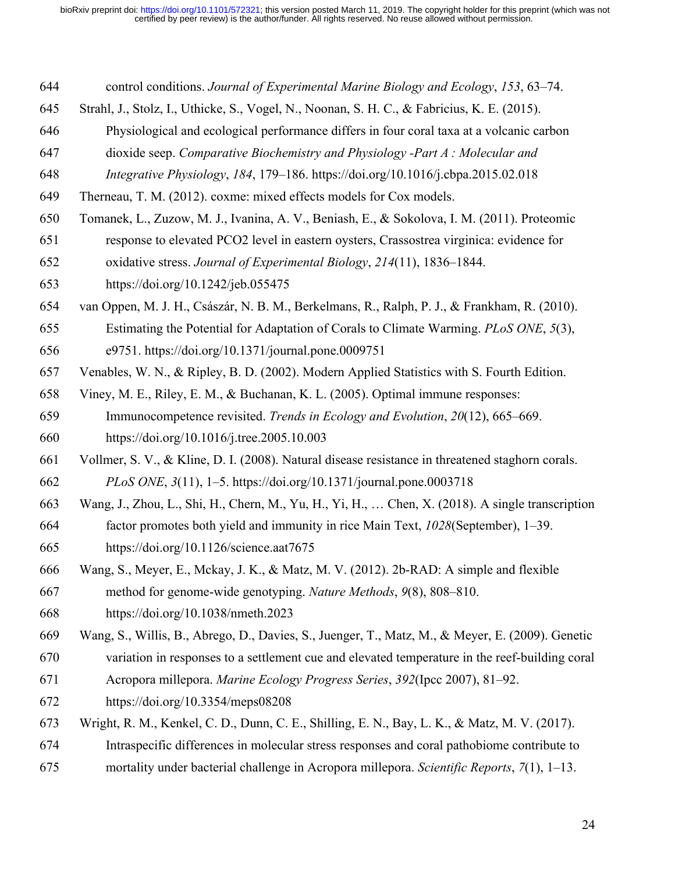- control conditions. *Journal of Experimental Marine Biology and Ecology*, *153*, 63–74.
- Strahl, J., Stolz, I., Uthicke, S., Vogel, N., Noonan, S. H. C., & Fabricius, K. E. (2015).
- Physiological and ecological performance differs in four coral taxa at a volcanic carbon
- dioxide seep. *Comparative Biochemistry and Physiology -Part A : Molecular and*
- *Integrative Physiology*, *184*, 179–186. https://doi.org/10.1016/j.cbpa.2015.02.018
- Therneau, T. M. (2012). coxme: mixed effects models for Cox models.
- Tomanek, L., Zuzow, M. J., Ivanina, A. V., Beniash, E., & Sokolova, I. M. (2011). Proteomic response to elevated PCO2 level in eastern oysters, Crassostrea virginica: evidence for
- oxidative stress. *Journal of Experimental Biology*, *214*(11), 1836–1844.

https://doi.org/10.1242/jeb.055475

- van Oppen, M. J. H., Császár, N. B. M., Berkelmans, R., Ralph, P. J., & Frankham, R. (2010).
- Estimating the Potential for Adaptation of Corals to Climate Warming. *PLoS ONE*, *5*(3), e9751. https://doi.org/10.1371/journal.pone.0009751
- Venables, W. N., & Ripley, B. D. (2002). Modern Applied Statistics with S. Fourth Edition.
- Viney, M. E., Riley, E. M., & Buchanan, K. L. (2005). Optimal immune responses:
- Immunocompetence revisited. *Trends in Ecology and Evolution*, *20*(12), 665–669. https://doi.org/10.1016/j.tree.2005.10.003
- Vollmer, S. V., & Kline, D. I. (2008). Natural disease resistance in threatened staghorn corals. *PLoS ONE*, *3*(11), 1–5. https://doi.org/10.1371/journal.pone.0003718
- Wang, J., Zhou, L., Shi, H., Chern, M., Yu, H., Yi, H., … Chen, X. (2018). A single transcription
- factor promotes both yield and immunity in rice Main Text, *1028*(September), 1–39. https://doi.org/10.1126/science.aat7675
- Wang, S., Meyer, E., Mckay, J. K., & Matz, M. V. (2012). 2b-RAD: A simple and flexible method for genome-wide genotyping. *Nature Methods*, *9*(8), 808–810.
- https://doi.org/10.1038/nmeth.2023
- Wang, S., Willis, B., Abrego, D., Davies, S., Juenger, T., Matz, M., & Meyer, E. (2009). Genetic
- variation in responses to a settlement cue and elevated temperature in the reef-building coral
- Acropora millepora. *Marine Ecology Progress Series*, *392*(Ipcc 2007), 81–92.
- https://doi.org/10.3354/meps08208
- Wright, R. M., Kenkel, C. D., Dunn, C. E., Shilling, E. N., Bay, L. K., & Matz, M. V. (2017).
- Intraspecific differences in molecular stress responses and coral pathobiome contribute to
- mortality under bacterial challenge in Acropora millepora. *Scientific Reports*, *7*(1), 1–13.